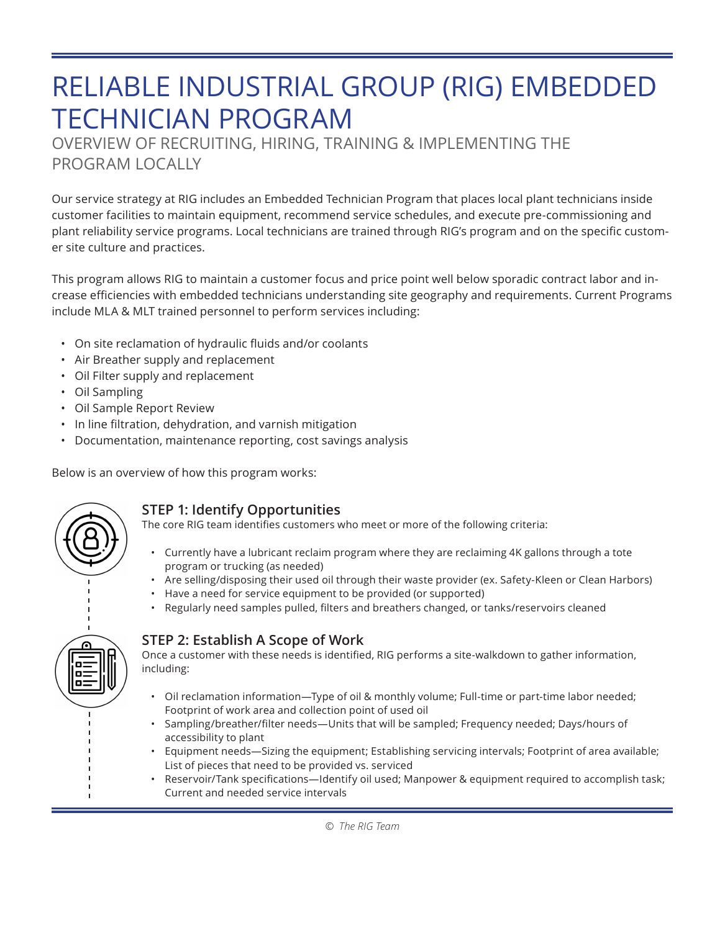# RELIABLE INDUSTRIAL GROUP (RIG) EMBEDDED TECHNICIAN PROGRAM

OVERVIEW OF RECRUITING, HIRING, TRAINING & IMPLEMENTING THE PROGRAM LOCALLY

Our service strategy at RIG includes an Embedded Technician Program that places local plant technicians inside customer facilities to maintain equipment, recommend service schedules, and execute pre-commissioning and plant reliability service programs. Local technicians are trained through RIG's program and on the specific customer site culture and practices.

This program allows RIG to maintain a customer focus and price point well below sporadic contract labor and increase efficiencies with embedded technicians understanding site geography and requirements. Current Programs include MLA & MLT trained personnel to perform services including:

- On site reclamation of hydraulic fluids and/or coolants
- Air Breather supply and replacement
- Oil Filter supply and replacement
- Oil Sampling
- Oil Sample Report Review
- In line filtration, dehydration, and varnish mitigation
- Documentation, maintenance reporting, cost savings analysis

Below is an overview of how this program works:



## **STEP 1: Identify Opportunities**

The core RIG team identifies customers who meet or more of the following criteria:

- Currently have a lubricant reclaim program where they are reclaiming 4K gallons through a tote program or trucking (as needed)
- Are selling/disposing their used oil through their waste provider (ex. Safety-Kleen or Clean Harbors)
- Have a need for service equipment to be provided (or supported)
- Regularly need samples pulled, filters and breathers changed, or tanks/reservoirs cleaned
- **STEP 2: Establish A Scope of Work**

Once a customer with these needs is identified, RIG performs a site-walkdown to gather information, including:

- Oil reclamation information—Type of oil & monthly volume; Full-time or part-time labor needed; Footprint of work area and collection point of used oil
- Sampling/breather/filter needs—Units that will be sampled; Frequency needed; Days/hours of accessibility to plant
- Equipment needs—Sizing the equipment; Establishing servicing intervals; Footprint of area available; List of pieces that need to be provided vs. serviced
- Reservoir/Tank specifications—Identify oil used; Manpower & equipment required to accomplish task; Current and needed service intervals